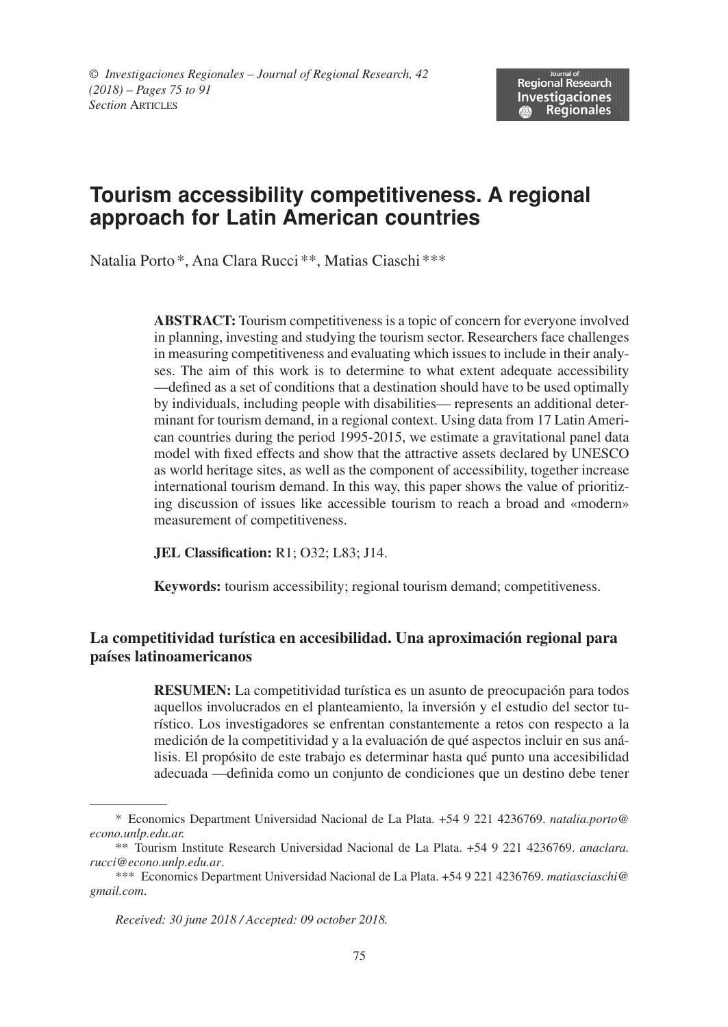# **Tourism accessibility competitiveness. A regional approach for Latin American countries**

Natalia Porto\*, Ana Clara Rucci\*\*, Matias Ciaschi\*\*\*

**Abstract:** Tourism competitiveness is a topic of concern for everyone involved in planning, investing and studying the tourism sector. Researchers face challenges in measuring competitiveness and evaluating which issues to include in their analyses. The aim of this work is to determine to what extent adequate accessibility —defined as a set of conditions that a destination should have to be used optimally by individuals, including people with disabilities— represents an additional determinant for tourism demand, in a regional context. Using data from 17 Latin American countries during the period 1995-2015, we estimate a gravitational panel data model with fixed effects and show that the attractive assets declared by UNESCO as world heritage sites, as well as the component of accessibility, together increase international tourism demand. In this way, this paper shows the value of prioritizing discussion of issues like accessible tourism to reach a broad and «modern» measurement of competitiveness.

**JEL Classification:** R1; O32; L83; J14.

**Keywords:** tourism accessibility; regional tourism demand; competitiveness.

### **La competitividad turística en accesibilidad. Una aproximación regional para países latinoamericanos**

**RESUMEN:** La competitividad turística es un asunto de preocupación para todos aquellos involucrados en el planteamiento, la inversión y el estudio del sector turístico. Los investigadores se enfrentan constantemente a retos con respecto a la medición de la competitividad y a la evaluación de qué aspectos incluir en sus análisis. El propósito de este trabajo es determinar hasta qué punto una accesibilidad adecuada —definida como un conjunto de condiciones que un destino debe tener

*Received: 30 june 2018 / Accepted: 09 october 2018.*

<sup>\*</sup> Economics Department Universidad Nacional de La Plata. +54 9 221 4236769. *natalia.porto@ econo.unlp.edu.ar.*

<sup>\*\*</sup> Tourism Institute Research Universidad Nacional de La Plata. +54 9 221 4236769. *anaclara. rucci@econo.unlp.edu.ar*.

<sup>\*\*\*</sup> Economics Department Universidad Nacional de La Plata. +54 9 221 4236769. *matiasciaschi@ gmail.com*.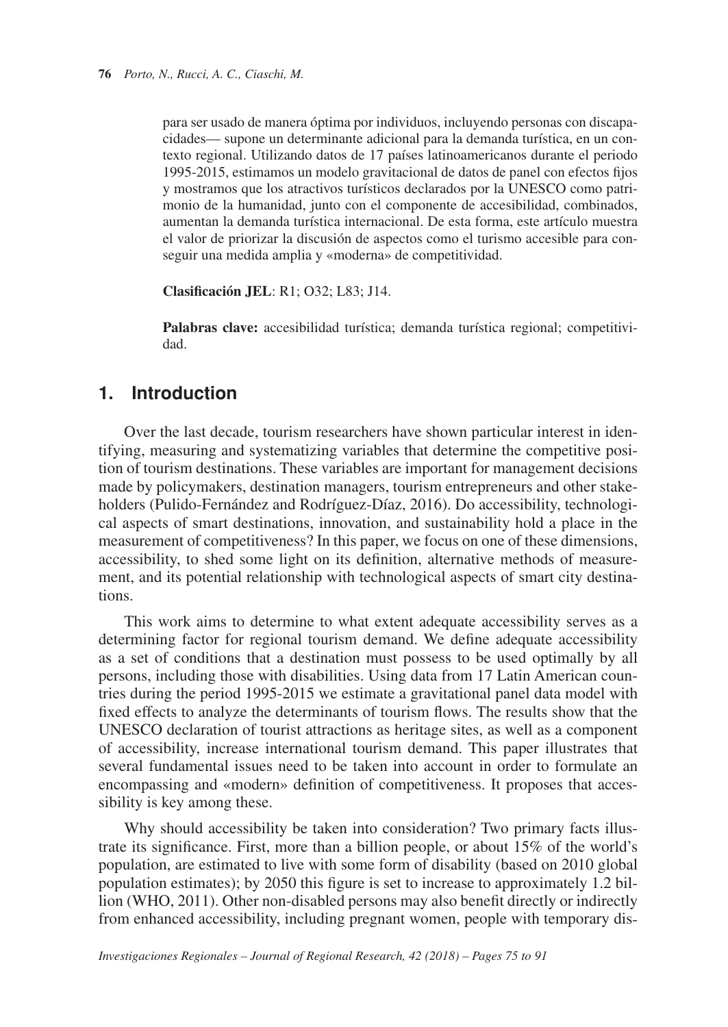para ser usado de manera óptima por individuos, incluyendo personas con discapacidades— supone un determinante adicional para la demanda turística, en un contexto regional. Utilizando datos de 17 países latinoamericanos durante el periodo 1995-2015, estimamos un modelo gravitacional de datos de panel con efectos fijos y mostramos que los atractivos turísticos declarados por la UNESCO como patrimonio de la humanidad, junto con el componente de accesibilidad, combinados, aumentan la demanda turística internacional. De esta forma, este artículo muestra el valor de priorizar la discusión de aspectos como el turismo accesible para conseguir una medida amplia y «moderna» de competitividad.

**Clasificación JEL**: R1; O32; L83; J14.

**Palabras clave:** accesibilidad turística; demanda turística regional; competitividad.

## **1. Introduction**

Over the last decade, tourism researchers have shown particular interest in identifying, measuring and systematizing variables that determine the competitive position of tourism destinations. These variables are important for management decisions made by policymakers, destination managers, tourism entrepreneurs and other stakeholders (Pulido-Fernández and Rodríguez-Díaz, 2016). Do accessibility, technological aspects of smart destinations, innovation, and sustainability hold a place in the measurement of competitiveness? In this paper, we focus on one of these dimensions, accessibility, to shed some light on its definition, alternative methods of measurement, and its potential relationship with technological aspects of smart city destinations.

This work aims to determine to what extent adequate accessibility serves as a determining factor for regional tourism demand. We define adequate accessibility as a set of conditions that a destination must possess to be used optimally by all persons, including those with disabilities. Using data from 17 Latin American countries during the period 1995-2015 we estimate a gravitational panel data model with fixed effects to analyze the determinants of tourism flows. The results show that the UNESCO declaration of tourist attractions as heritage sites, as well as a component of accessibility, increase international tourism demand. This paper illustrates that several fundamental issues need to be taken into account in order to formulate an encompassing and «modern» definition of competitiveness. It proposes that accessibility is key among these.

Why should accessibility be taken into consideration? Two primary facts illustrate its significance. First, more than a billion people, or about 15% of the world's population, are estimated to live with some form of disability (based on 2010 global population estimates); by 2050 this figure is set to increase to approximately 1.2 billion (WHO, 2011). Other non-disabled persons may also benefit directly or indirectly from enhanced accessibility, including pregnant women, people with temporary dis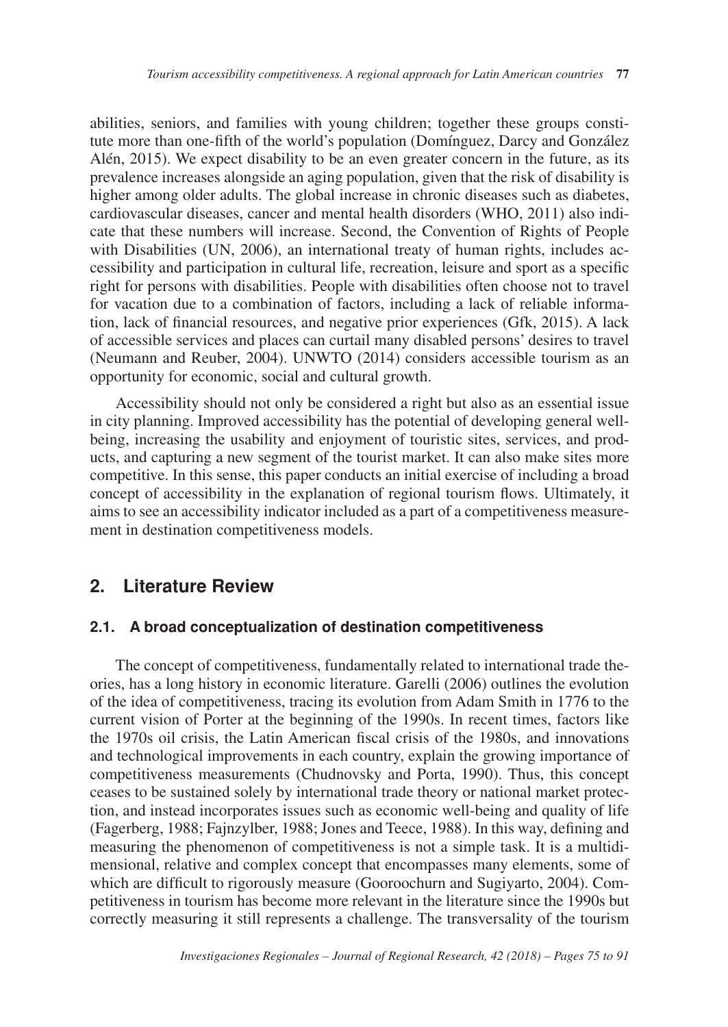abilities, seniors, and families with young children; together these groups constitute more than one-fifth of the world's population (Domínguez, Darcy and González Alén, 2015). We expect disability to be an even greater concern in the future, as its prevalence increases alongside an aging population, given that the risk of disability is higher among older adults. The global increase in chronic diseases such as diabetes, cardiovascular diseases, cancer and mental health disorders (WHO, 2011) also indicate that these numbers will increase. Second, the Convention of Rights of People with Disabilities (UN, 2006), an international treaty of human rights, includes accessibility and participation in cultural life, recreation, leisure and sport as a specific right for persons with disabilities. People with disabilities often choose not to travel for vacation due to a combination of factors, including a lack of reliable information, lack of financial resources, and negative prior experiences (Gfk, 2015). A lack of accessible services and places can curtail many disabled persons' desires to travel (Neumann and Reuber, 2004). UNWTO (2014) considers accessible tourism as an opportunity for economic, social and cultural growth.

Accessibility should not only be considered a right but also as an essential issue in city planning. Improved accessibility has the potential of developing general wellbeing, increasing the usability and enjoyment of touristic sites, services, and products, and capturing a new segment of the tourist market. It can also make sites more competitive. In this sense, this paper conducts an initial exercise of including a broad concept of accessibility in the explanation of regional tourism flows. Ultimately, it aims to see an accessibility indicator included as a part of a competitiveness measurement in destination competitiveness models.

## **2. Literature Review**

#### **2.1. A broad conceptualization of destination competitiveness**

The concept of competitiveness, fundamentally related to international trade theories, has a long history in economic literature. Garelli (2006) outlines the evolution of the idea of competitiveness, tracing its evolution from Adam Smith in 1776 to the current vision of Porter at the beginning of the 1990s. In recent times, factors like the 1970s oil crisis, the Latin American fiscal crisis of the 1980s, and innovations and technological improvements in each country, explain the growing importance of competitiveness measurements (Chudnovsky and Porta, 1990). Thus, this concept ceases to be sustained solely by international trade theory or national market protection, and instead incorporates issues such as economic well-being and quality of life (Fagerberg, 1988; Fajnzylber, 1988; Jones and Teece, 1988). In this way, defining and measuring the phenomenon of competitiveness is not a simple task. It is a multidimensional, relative and complex concept that encompasses many elements, some of which are difficult to rigorously measure (Gooroochurn and Sugiyarto, 2004). Competitiveness in tourism has become more relevant in the literature since the 1990s but correctly measuring it still represents a challenge. The transversality of the tourism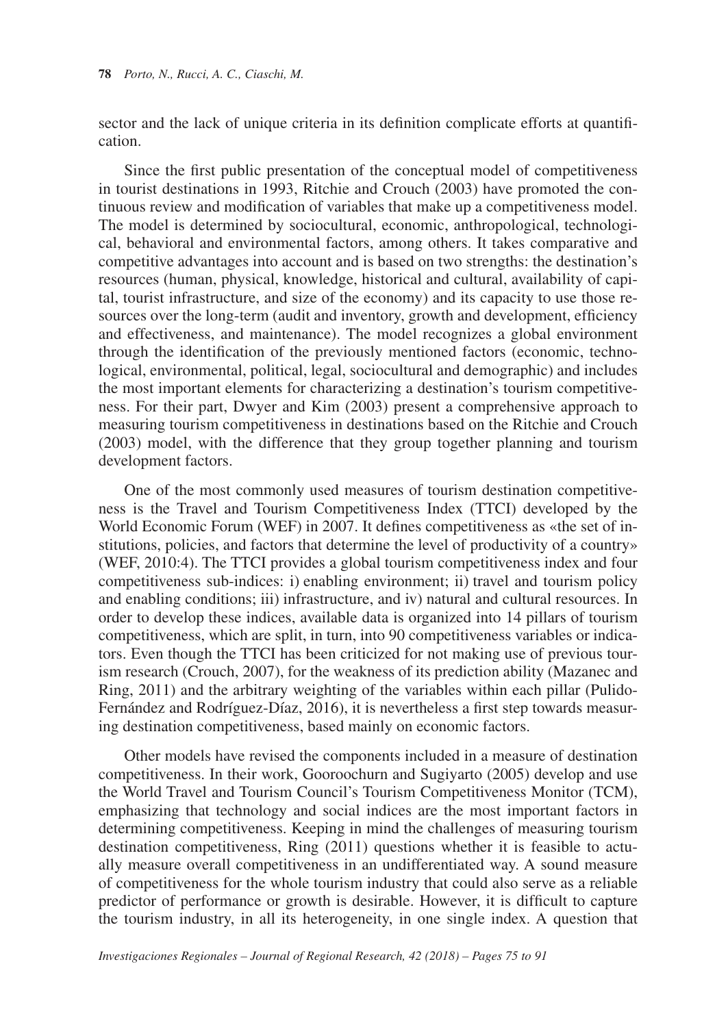sector and the lack of unique criteria in its definition complicate efforts at quantification.

Since the first public presentation of the conceptual model of competitiveness in tourist destinations in 1993, Ritchie and Crouch (2003) have promoted the continuous review and modification of variables that make up a competitiveness model. The model is determined by sociocultural, economic, anthropological, technological, behavioral and environmental factors, among others. It takes comparative and competitive advantages into account and is based on two strengths: the destination's resources (human, physical, knowledge, historical and cultural, availability of capital, tourist infrastructure, and size of the economy) and its capacity to use those resources over the long-term (audit and inventory, growth and development, efficiency and effectiveness, and maintenance). The model recognizes a global environment through the identification of the previously mentioned factors (economic, technological, environmental, political, legal, sociocultural and demographic) and includes the most important elements for characterizing a destination's tourism competitiveness. For their part, Dwyer and Kim (2003) present a comprehensive approach to measuring tourism competitiveness in destinations based on the Ritchie and Crouch (2003) model, with the difference that they group together planning and tourism development factors.

One of the most commonly used measures of tourism destination competitiveness is the Travel and Tourism Competitiveness Index (TTCI) developed by the World Economic Forum (WEF) in 2007. It defines competitiveness as «the set of institutions, policies, and factors that determine the level of productivity of a country» (WEF, 2010:4). The TTCI provides a global tourism competitiveness index and four competitiveness sub-indices: i) enabling environment; ii) travel and tourism policy and enabling conditions; iii) infrastructure, and iv) natural and cultural resources. In order to develop these indices, available data is organized into 14 pillars of tourism competitiveness, which are split, in turn, into 90 competitiveness variables or indicators. Even though the TTCI has been criticized for not making use of previous tourism research (Crouch, 2007), for the weakness of its prediction ability (Mazanec and Ring, 2011) and the arbitrary weighting of the variables within each pillar (Pulido-Fernández and Rodríguez-Díaz, 2016), it is nevertheless a first step towards measuring destination competitiveness, based mainly on economic factors.

Other models have revised the components included in a measure of destination competitiveness. In their work, Gooroochurn and Sugiyarto (2005) develop and use the World Travel and Tourism Council's Tourism Competitiveness Monitor (TCM), emphasizing that technology and social indices are the most important factors in determining competitiveness. Keeping in mind the challenges of measuring tourism destination competitiveness, Ring (2011) questions whether it is feasible to actually measure overall competitiveness in an undifferentiated way. A sound measure of competitiveness for the whole tourism industry that could also serve as a reliable predictor of performance or growth is desirable. However, it is difficult to capture the tourism industry, in all its heterogeneity, in one single index. A question that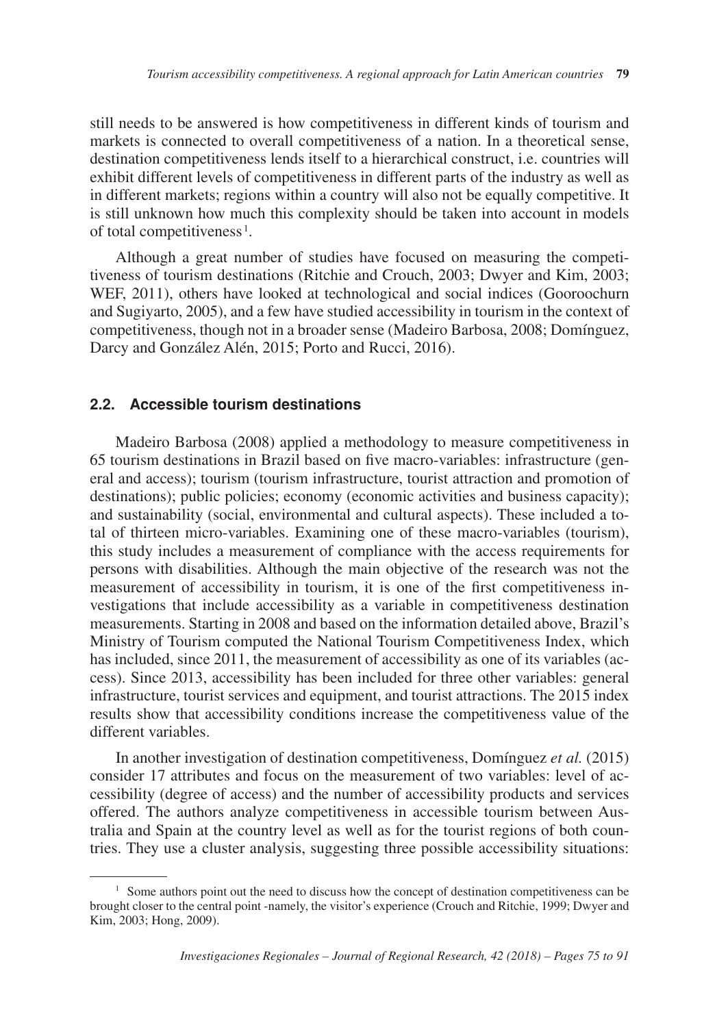still needs to be answered is how competitiveness in different kinds of tourism and markets is connected to overall competitiveness of a nation. In a theoretical sense, destination competitiveness lends itself to a hierarchical construct, i.e. countries will exhibit different levels of competitiveness in different parts of the industry as well as in different markets; regions within a country will also not be equally competitive. It is still unknown how much this complexity should be taken into account in models of total competitiveness<sup>1</sup>.

Although a great number of studies have focused on measuring the competitiveness of tourism destinations (Ritchie and Crouch, 2003; Dwyer and Kim, 2003; WEF, 2011), others have looked at technological and social indices (Gooroochurn and Sugiyarto, 2005), and a few have studied accessibility in tourism in the context of competitiveness, though not in a broader sense (Madeiro Barbosa, 2008; Domínguez, Darcy and González Alén, 2015; Porto and Rucci, 2016).

#### **2.2. Accessible tourism destinations**

Madeiro Barbosa (2008) applied a methodology to measure competitiveness in 65 tourism destinations in Brazil based on five macro-variables: infrastructure (general and access); tourism (tourism infrastructure, tourist attraction and promotion of destinations); public policies; economy (economic activities and business capacity); and sustainability (social, environmental and cultural aspects). These included a total of thirteen micro-variables. Examining one of these macro-variables (tourism), this study includes a measurement of compliance with the access requirements for persons with disabilities. Although the main objective of the research was not the measurement of accessibility in tourism, it is one of the first competitiveness investigations that include accessibility as a variable in competitiveness destination measurements. Starting in 2008 and based on the information detailed above, Brazil's Ministry of Tourism computed the National Tourism Competitiveness Index, which has included, since 2011, the measurement of accessibility as one of its variables (access). Since 2013, accessibility has been included for three other variables: general infrastructure, tourist services and equipment, and tourist attractions. The 2015 index results show that accessibility conditions increase the competitiveness value of the different variables.

In another investigation of destination competitiveness, Domínguez *et al.* (2015) consider 17 attributes and focus on the measurement of two variables: level of accessibility (degree of access) and the number of accessibility products and services offered. The authors analyze competitiveness in accessible tourism between Australia and Spain at the country level as well as for the tourist regions of both countries. They use a cluster analysis, suggesting three possible accessibility situations:

<sup>&</sup>lt;sup>1</sup> Some authors point out the need to discuss how the concept of destination competitiveness can be brought closer to the central point -namely, the visitor's experience (Crouch and Ritchie, 1999; Dwyer and Kim, 2003; Hong, 2009).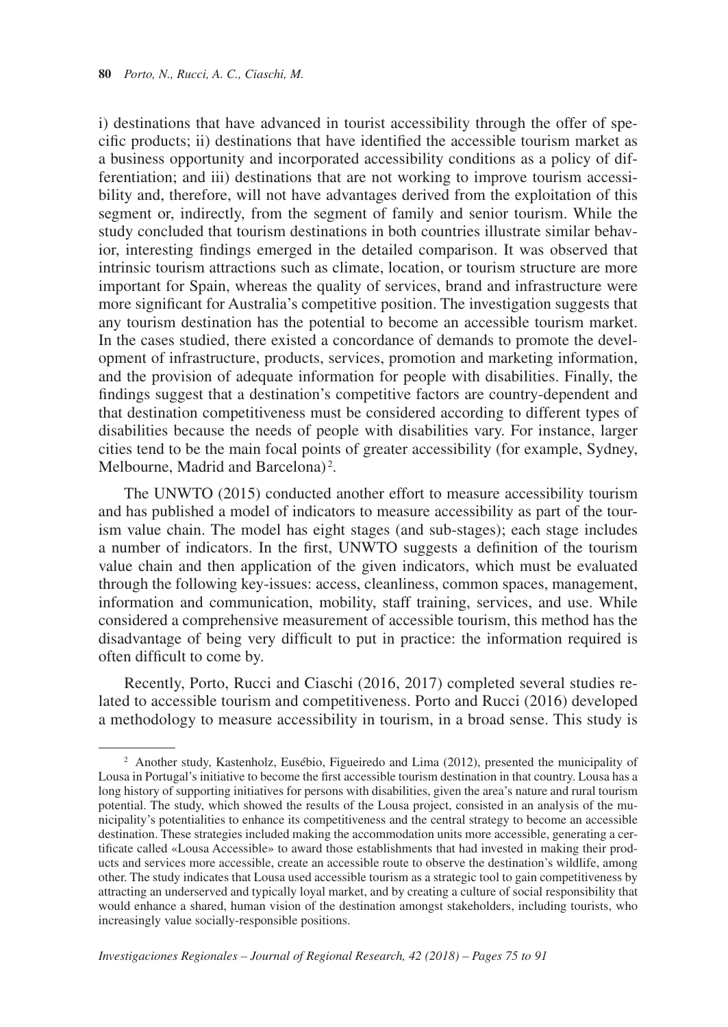i) destinations that have advanced in tourist accessibility through the offer of specific products; ii) destinations that have identified the accessible tourism market as a business opportunity and incorporated accessibility conditions as a policy of differentiation; and iii) destinations that are not working to improve tourism accessibility and, therefore, will not have advantages derived from the exploitation of this segment or, indirectly, from the segment of family and senior tourism. While the study concluded that tourism destinations in both countries illustrate similar behavior, interesting findings emerged in the detailed comparison. It was observed that intrinsic tourism attractions such as climate, location, or tourism structure are more important for Spain, whereas the quality of services, brand and infrastructure were more significant for Australia's competitive position. The investigation suggests that any tourism destination has the potential to become an accessible tourism market. In the cases studied, there existed a concordance of demands to promote the development of infrastructure, products, services, promotion and marketing information, and the provision of adequate information for people with disabilities. Finally, the findings suggest that a destination's competitive factors are country-dependent and that destination competitiveness must be considered according to different types of disabilities because the needs of people with disabilities vary. For instance, larger cities tend to be the main focal points of greater accessibility (for example, Sydney, Melbourne, Madrid and Barcelona)<sup>2</sup>.

The UNWTO (2015) conducted another effort to measure accessibility tourism and has published a model of indicators to measure accessibility as part of the tourism value chain. The model has eight stages (and sub-stages); each stage includes a number of indicators. In the first, UNWTO suggests a definition of the tourism value chain and then application of the given indicators, which must be evaluated through the following key-issues: access, cleanliness, common spaces, management, information and communication, mobility, staff training, services, and use. While considered a comprehensive measurement of accessible tourism, this method has the disadvantage of being very difficult to put in practice: the information required is often difficult to come by.

Recently, Porto, Rucci and Ciaschi (2016, 2017) completed several studies related to accessible tourism and competitiveness. Porto and Rucci (2016) developed a methodology to measure accessibility in tourism, in a broad sense. This study is

<sup>&</sup>lt;sup>2</sup> Another study, Kastenholz, Eusébio, Figueiredo and Lima (2012), presented the municipality of Lousa in Portugal's initiative to become the first accessible tourism destination in that country. Lousa has a long history of supporting initiatives for persons with disabilities, given the area's nature and rural tourism potential. The study, which showed the results of the Lousa project, consisted in an analysis of the municipality's potentialities to enhance its competitiveness and the central strategy to become an accessible destination. These strategies included making the accommodation units more accessible, generating a certificate called «Lousa Accessible» to award those establishments that had invested in making their products and services more accessible, create an accessible route to observe the destination's wildlife, among other. The study indicates that Lousa used accessible tourism as a strategic tool to gain competitiveness by attracting an underserved and typically loyal market, and by creating a culture of social responsibility that would enhance a shared, human vision of the destination amongst stakeholders, including tourists, who increasingly value socially-responsible positions.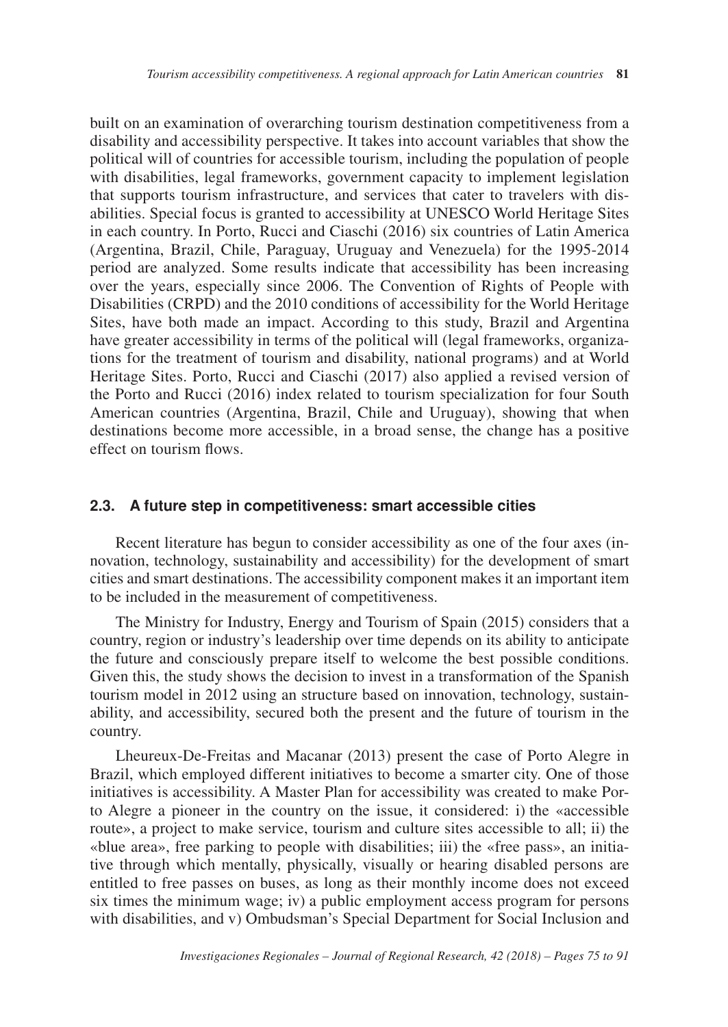built on an examination of overarching tourism destination competitiveness from a disability and accessibility perspective. It takes into account variables that show the political will of countries for accessible tourism, including the population of people with disabilities, legal frameworks, government capacity to implement legislation that supports tourism infrastructure, and services that cater to travelers with disabilities. Special focus is granted to accessibility at UNESCO World Heritage Sites in each country. In Porto, Rucci and Ciaschi (2016) six countries of Latin America (Argentina, Brazil, Chile, Paraguay, Uruguay and Venezuela) for the 1995-2014 period are analyzed. Some results indicate that accessibility has been increasing over the years, especially since 2006. The Convention of Rights of People with Disabilities (CRPD) and the 2010 conditions of accessibility for the World Heritage Sites, have both made an impact. According to this study, Brazil and Argentina have greater accessibility in terms of the political will (legal frameworks, organizations for the treatment of tourism and disability, national programs) and at World Heritage Sites. Porto, Rucci and Ciaschi (2017) also applied a revised version of the Porto and Rucci (2016) index related to tourism specialization for four South American countries (Argentina, Brazil, Chile and Uruguay), showing that when destinations become more accessible, in a broad sense, the change has a positive effect on tourism flows.

#### **2.3. A future step in competitiveness: smart accessible cities**

Recent literature has begun to consider accessibility as one of the four axes (innovation, technology, sustainability and accessibility) for the development of smart cities and smart destinations. The accessibility component makes it an important item to be included in the measurement of competitiveness.

The Ministry for Industry, Energy and Tourism of Spain (2015) considers that a country, region or industry's leadership over time depends on its ability to anticipate the future and consciously prepare itself to welcome the best possible conditions. Given this, the study shows the decision to invest in a transformation of the Spanish tourism model in 2012 using an structure based on innovation, technology, sustainability, and accessibility, secured both the present and the future of tourism in the country.

Lheureux-De-Freitas and Macanar (2013) present the case of Porto Alegre in Brazil, which employed different initiatives to become a smarter city. One of those initiatives is accessibility. A Master Plan for accessibility was created to make Porto Alegre a pioneer in the country on the issue, it considered: i) the «accessible route», a project to make service, tourism and culture sites accessible to all; ii) the «blue area», free parking to people with disabilities; iii) the «free pass», an initiative through which mentally, physically, visually or hearing disabled persons are entitled to free passes on buses, as long as their monthly income does not exceed six times the minimum wage; iv) a public employment access program for persons with disabilities, and v) Ombudsman's Special Department for Social Inclusion and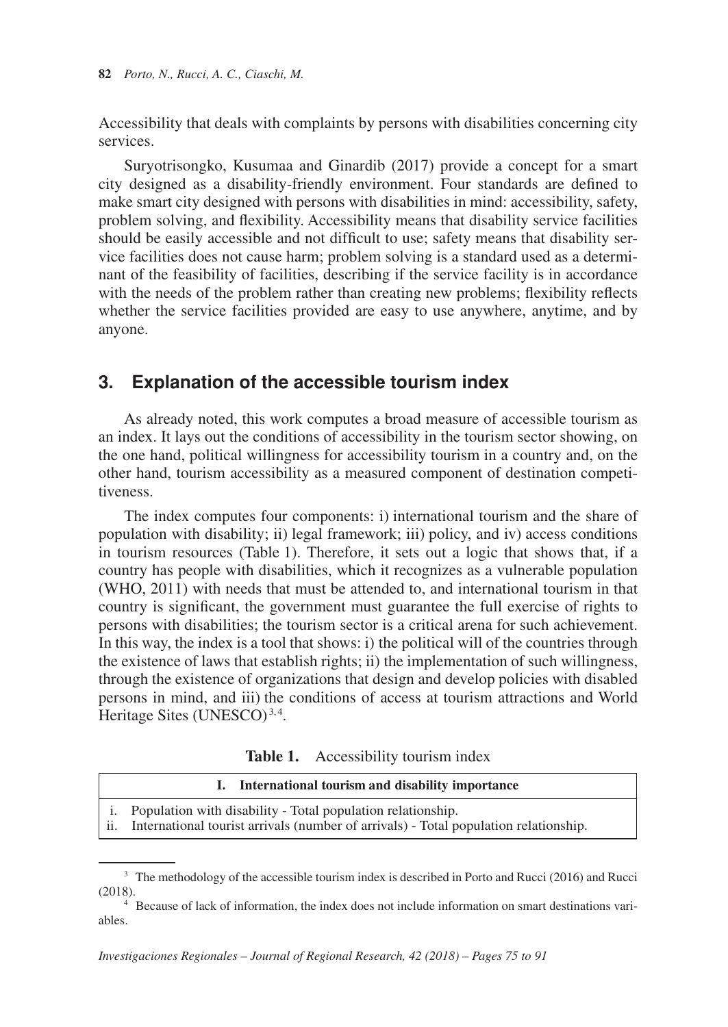Accessibility that deals with complaints by persons with disabilities concerning city services.

Suryotrisongko, Kusumaa and Ginardib (2017) provide a concept for a smart city designed as a disability-friendly environment. Four standards are defined to make smart city designed with persons with disabilities in mind: accessibility, safety, problem solving, and flexibility. Accessibility means that disability service facilities should be easily accessible and not difficult to use; safety means that disability service facilities does not cause harm; problem solving is a standard used as a determinant of the feasibility of facilities, describing if the service facility is in accordance with the needs of the problem rather than creating new problems; flexibility reflects whether the service facilities provided are easy to use anywhere, anytime, and by anyone.

### **3. Explanation of the accessible tourism index**

As already noted, this work computes a broad measure of accessible tourism as an index. It lays out the conditions of accessibility in the tourism sector showing, on the one hand, political willingness for accessibility tourism in a country and, on the other hand, tourism accessibility as a measured component of destination competitiveness.

The index computes four components: i) international tourism and the share of population with disability; ii) legal framework; iii) policy, and iv) access conditions in tourism resources (Table 1). Therefore, it sets out a logic that shows that, if a country has people with disabilities, which it recognizes as a vulnerable population (WHO, 2011) with needs that must be attended to, and international tourism in that country is significant, the government must guarantee the full exercise of rights to persons with disabilities; the tourism sector is a critical arena for such achievement. In this way, the index is a tool that shows: i) the political will of the countries through the existence of laws that establish rights; ii) the implementation of such willingness, through the existence of organizations that design and develop policies with disabled persons in mind, and iii) the conditions of access at tourism attractions and World Heritage Sites (UNESCO)<sup>3,4</sup>.

**Table 1.** Accessibility tourism index

|                            | International tourism and disability importance                                                                                                               |
|----------------------------|---------------------------------------------------------------------------------------------------------------------------------------------------------------|
| $\overline{\mathbf{ii}}$ . | <i>i.</i> Population with disability - Total population relationship.<br>International tourist arrivals (number of arrivals) - Total population relationship. |

<sup>&</sup>lt;sup>3</sup> The methodology of the accessible tourism index is described in Porto and Rucci (2016) and Rucci (2018).

<sup>4</sup> Because of lack of information, the index does not include information on smart destinations variables.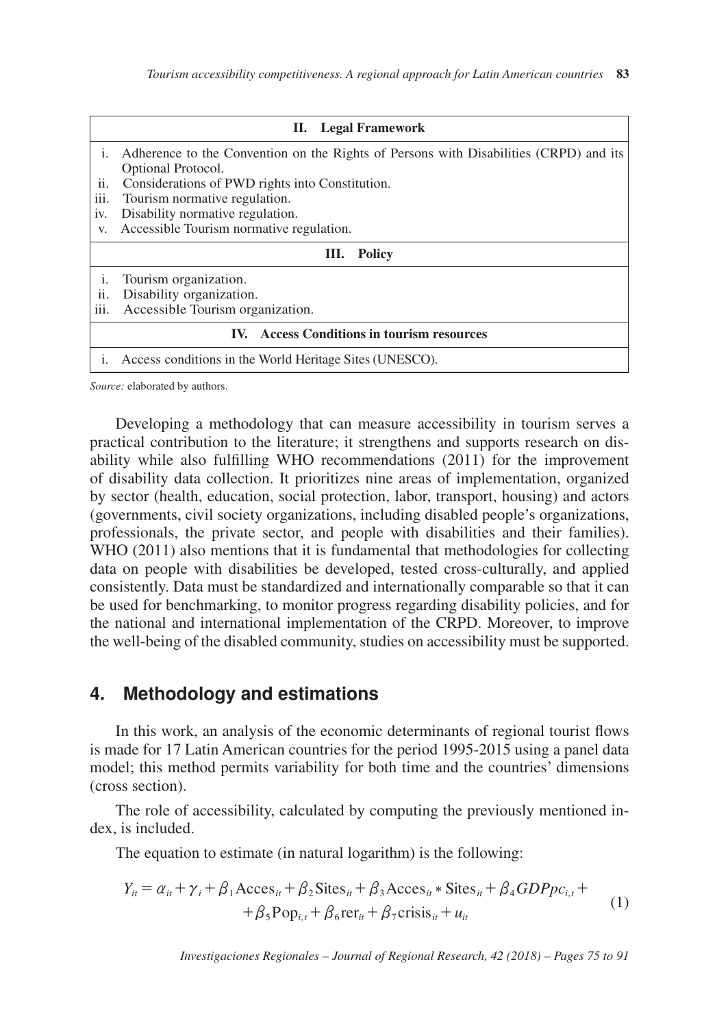|      | II. Legal Framework                                                                   |  |  |  |  |
|------|---------------------------------------------------------------------------------------|--|--|--|--|
| 1.   | Adherence to the Convention on the Rights of Persons with Disabilities (CRPD) and its |  |  |  |  |
|      | Optional Protocol.                                                                    |  |  |  |  |
| ii.  | Considerations of PWD rights into Constitution.                                       |  |  |  |  |
| iii. | Tourism normative regulation.                                                         |  |  |  |  |
| iv.  | Disability normative regulation.                                                      |  |  |  |  |
| V.   | Accessible Tourism normative regulation.                                              |  |  |  |  |
|      | III. Policy                                                                           |  |  |  |  |
| i.   | Tourism organization.                                                                 |  |  |  |  |
| ii.  | Disability organization.                                                              |  |  |  |  |
| iii. | Accessible Tourism organization.                                                      |  |  |  |  |
|      | IV. Access Conditions in tourism resources                                            |  |  |  |  |
|      | Access conditions in the World Heritage Sites (UNESCO).                               |  |  |  |  |

*Source:* elaborated by authors.

Developing a methodology that can measure accessibility in tourism serves a practical contribution to the literature; it strengthens and supports research on disability while also fulfilling WHO recommendations (2011) for the improvement of disability data collection. It prioritizes nine areas of implementation, organized by sector (health, education, social protection, labor, transport, housing) and actors (governments, civil society organizations, including disabled people's organizations, professionals, the private sector, and people with disabilities and their families). WHO (2011) also mentions that it is fundamental that methodologies for collecting data on people with disabilities be developed, tested cross-culturally, and applied consistently. Data must be standardized and internationally comparable so that it can be used for benchmarking, to monitor progress regarding disability policies, and for the national and international implementation of the CRPD. Moreover, to improve the well-being of the disabled community, studies on accessibility must be supported.

### **4. Methodology and estimations**

In this work, an analysis of the economic determinants of regional tourist flows is made for 17 Latin American countries for the period 1995-2015 using a panel data model; this method permits variability for both time and the countries' dimensions (cross section).

The role of accessibility, calculated by computing the previously mentioned index, is included.

The equation to estimate (in natural logarithm) is the following:

$$
Y_{ii} = \alpha_{ii} + \gamma_i + \beta_1 \text{Access}_{ii} + \beta_2 \text{Sttes}_{ii} + \beta_3 \text{Access}_{ii} * \text{Sttes}_{ii} + \beta_4 GDPpc_{i,t} + + \beta_5 Pop_{i,t} + \beta_6 \text{rer}_{ii} + \beta_7 \text{crisis}_{ii} + u_{it}
$$
 (1)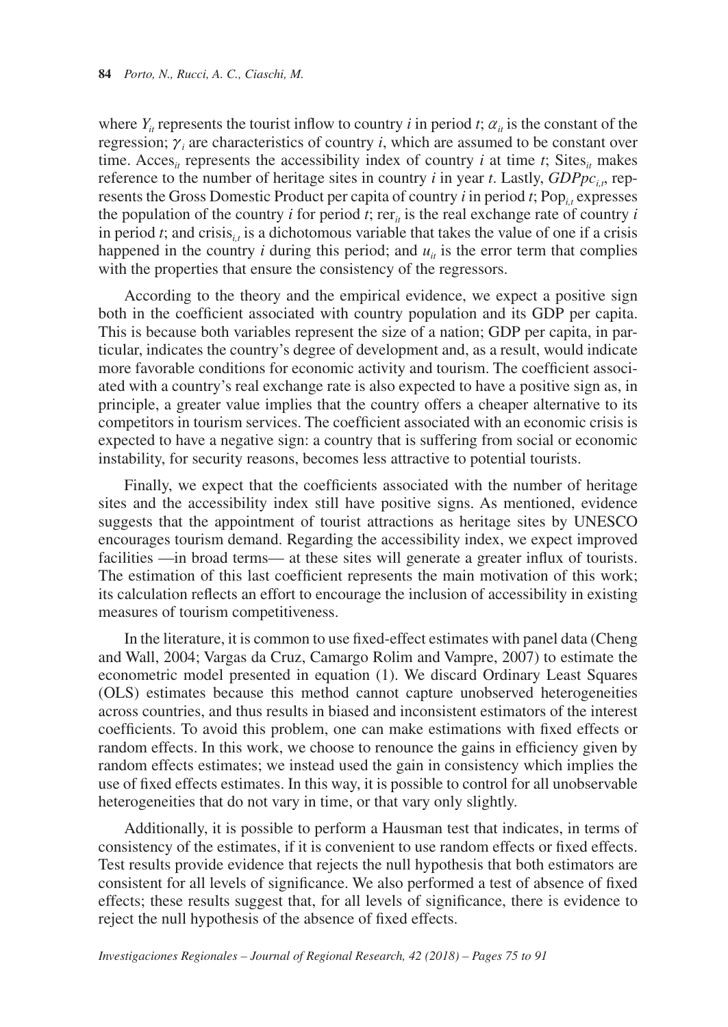where  $Y_i$  represents the tourist inflow to country *i* in period *t*;  $\alpha_i$  is the constant of the regression;  $\gamma$ <sub>*i*</sub> are characteristics of country *i*, which are assumed to be constant over time. Acces<sub>*it*</sub> represents the accessibility index of country *i* at time *t*; Sites<sub>*it*</sub> makes reference to the number of heritage sites in country *i* in year *t*. Lastly,  $GDPpc<sub>i</sub>$ , represents the Gross Domestic Product per capita of country  $i$  in period  $t$ ; Pop<sub>i,t</sub> expresses the population of the country *i* for period *t*; rer<sub>*it*</sub> is the real exchange rate of country *i* in period *t*; and crisis<sub>*i*</sub>, is a dichotomous variable that takes the value of one if a crisis happened in the country *i* during this period; and  $u_{ij}$  is the error term that complies with the properties that ensure the consistency of the regressors.

According to the theory and the empirical evidence, we expect a positive sign both in the coefficient associated with country population and its GDP per capita. This is because both variables represent the size of a nation; GDP per capita, in particular, indicates the country's degree of development and, as a result, would indicate more favorable conditions for economic activity and tourism. The coefficient associated with a country's real exchange rate is also expected to have a positive sign as, in principle, a greater value implies that the country offers a cheaper alternative to its competitors in tourism services. The coefficient associated with an economic crisis is expected to have a negative sign: a country that is suffering from social or economic instability, for security reasons, becomes less attractive to potential tourists.

Finally, we expect that the coefficients associated with the number of heritage sites and the accessibility index still have positive signs. As mentioned, evidence suggests that the appointment of tourist attractions as heritage sites by UNESCO encourages tourism demand. Regarding the accessibility index, we expect improved facilities —in broad terms— at these sites will generate a greater influx of tourists. The estimation of this last coefficient represents the main motivation of this work; its calculation reflects an effort to encourage the inclusion of accessibility in existing measures of tourism competitiveness.

In the literature, it is common to use fixed-effect estimates with panel data (Cheng and Wall, 2004; Vargas da Cruz, Camargo Rolim and Vampre, 2007) to estimate the econometric model presented in equation (1). We discard Ordinary Least Squares (OLS) estimates because this method cannot capture unobserved heterogeneities across countries, and thus results in biased and inconsistent estimators of the interest coefficients. To avoid this problem, one can make estimations with fixed effects or random effects. In this work, we choose to renounce the gains in efficiency given by random effects estimates; we instead used the gain in consistency which implies the use of fixed effects estimates. In this way, it is possible to control for all unobservable heterogeneities that do not vary in time, or that vary only slightly.

Additionally, it is possible to perform a Hausman test that indicates, in terms of consistency of the estimates, if it is convenient to use random effects or fixed effects. Test results provide evidence that rejects the null hypothesis that both estimators are consistent for all levels of significance. We also performed a test of absence of fixed effects; these results suggest that, for all levels of significance, there is evidence to reject the null hypothesis of the absence of fixed effects.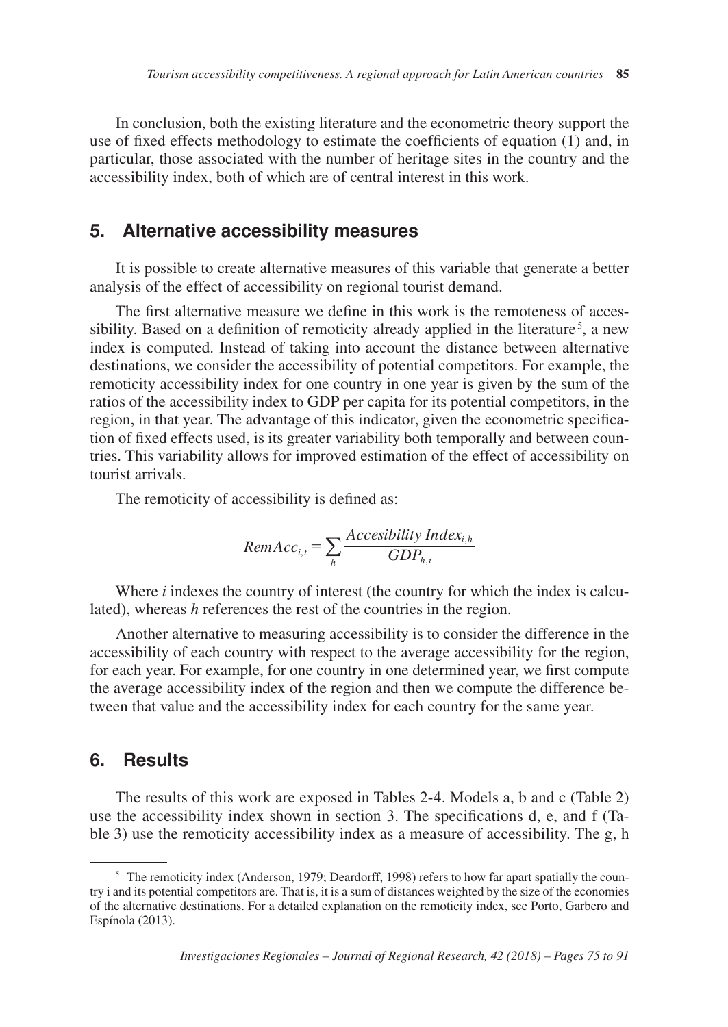In conclusion, both the existing literature and the econometric theory support the use of fixed effects methodology to estimate the coefficients of equation (1) and, in particular, those associated with the number of heritage sites in the country and the accessibility index, both of which are of central interest in this work.

### **5. Alternative accessibility measures**

It is possible to create alternative measures of this variable that generate a better analysis of the effect of accessibility on regional tourist demand.

The first alternative measure we define in this work is the remoteness of accessibility. Based on a definition of remoticity already applied in the literature<sup>5</sup>, a new index is computed. Instead of taking into account the distance between alternative destinations, we consider the accessibility of potential competitors. For example, the remoticity accessibility index for one country in one year is given by the sum of the ratios of the accessibility index to GDP per capita for its potential competitors, in the region, in that year. The advantage of this indicator, given the econometric specification of fixed effects used, is its greater variability both temporally and between countries. This variability allows for improved estimation of the effect of accessibility on tourist arrivals.

The remoticity of accessibility is defined as:

$$
RemAcc_{i,t} = \sum_{h} \frac{Accessibility Index_{i,h}}{GDP_{h,t}}
$$

Where *i* indexes the country of interest (the country for which the index is calculated), whereas *h* references the rest of the countries in the region.

Another alternative to measuring accessibility is to consider the difference in the accessibility of each country with respect to the average accessibility for the region, for each year. For example, for one country in one determined year, we first compute the average accessibility index of the region and then we compute the difference between that value and the accessibility index for each country for the same year.

## **6. Results**

The results of this work are exposed in Tables 2-4. Models a, b and c (Table 2) use the accessibility index shown in section 3. The specifications d, e, and f (Table 3) use the remoticity accessibility index as a measure of accessibility. The g, h

<sup>&</sup>lt;sup>5</sup> The remoticity index (Anderson, 1979; Deardorff, 1998) refers to how far apart spatially the country i and its potential competitors are. That is, it is a sum of distances weighted by the size of the economies of the alternative destinations. For a detailed explanation on the remoticity index, see Porto, Garbero and Espínola (2013).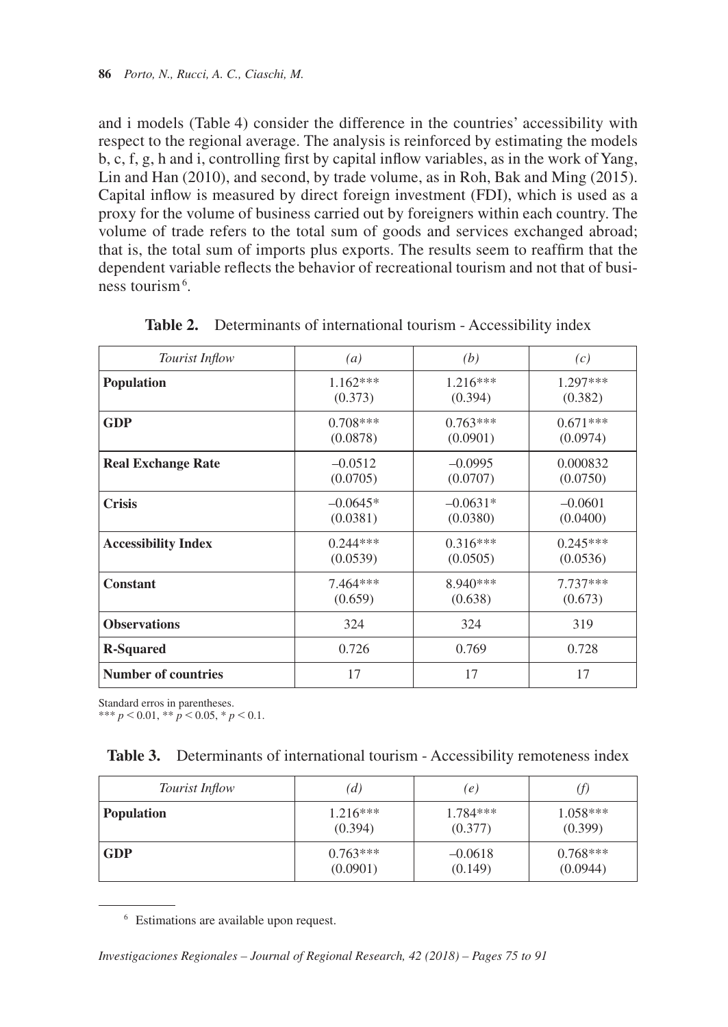and i models (Table 4) consider the difference in the countries' accessibility with respect to the regional average. The analysis is reinforced by estimating the models b, c, f, g, h and i, controlling first by capital inflow variables, as in the work of Yang, Lin and Han (2010), and second, by trade volume, as in Roh, Bak and Ming (2015). Capital inflow is measured by direct foreign investment (FDI), which is used as a proxy for the volume of business carried out by foreigners within each country. The volume of trade refers to the total sum of goods and services exchanged abroad; that is, the total sum of imports plus exports. The results seem to reaffirm that the dependent variable reflects the behavior of recreational tourism and not that of business tourism<sup>6</sup>.

| <b>Tourist Inflow</b>      | (a)        | (b)        | (c)        |
|----------------------------|------------|------------|------------|
| <b>Population</b>          | $1.162***$ | $1.216***$ | $1.297***$ |
|                            | (0.373)    | (0.394)    | (0.382)    |
| <b>GDP</b>                 | $0.708***$ | $0.763***$ | $0.671***$ |
|                            | (0.0878)   | (0.0901)   | (0.0974)   |
| <b>Real Exchange Rate</b>  | $-0.0512$  | $-0.0995$  | 0.000832   |
|                            | (0.0705)   | (0.0707)   | (0.0750)   |
| <b>Crisis</b>              | $-0.0645*$ | $-0.0631*$ | $-0.0601$  |
|                            | (0.0381)   | (0.0380)   | (0.0400)   |
| <b>Accessibility Index</b> | $0.244***$ | $0.316***$ | $0.245***$ |
|                            | (0.0539)   | (0.0505)   | (0.0536)   |
| <b>Constant</b>            | $7.464***$ | $8.940***$ | $7.737***$ |
|                            | (0.659)    | (0.638)    | (0.673)    |
| <b>Observations</b>        | 324        | 324        | 319        |
| <b>R-Squared</b>           | 0.726      | 0.769      | 0.728      |
| <b>Number of countries</b> | 17         | 17         | 17         |

**Table 2.** Determinants of international tourism - Accessibility index

Standard erros in parentheses.

\*\*\*  $p < 0.01$ , \*\*  $p < 0.05$ , \*  $p < 0.1$ .

|  | <b>Table 3.</b> Determinants of international tourism - Accessibility remoteness index |  |  |  |  |  |
|--|----------------------------------------------------------------------------------------|--|--|--|--|--|
|--|----------------------------------------------------------------------------------------|--|--|--|--|--|

| Tourist Inflow    | (d)        | (e)        | J)         |
|-------------------|------------|------------|------------|
| <b>Population</b> | $1.216***$ | $1.784***$ | $1.058***$ |
|                   | (0.394)    | (0.377)    | (0.399)    |
| <b>GDP</b>        | $0.763***$ | $-0.0618$  | $0.768***$ |
|                   | (0.0901)   | (0.149)    | (0.0944)   |

<sup>6</sup> Estimations are available upon request.

*Investigaciones Regionales – Journal of Regional Research, 42 (2018) – Pages 75 to 91*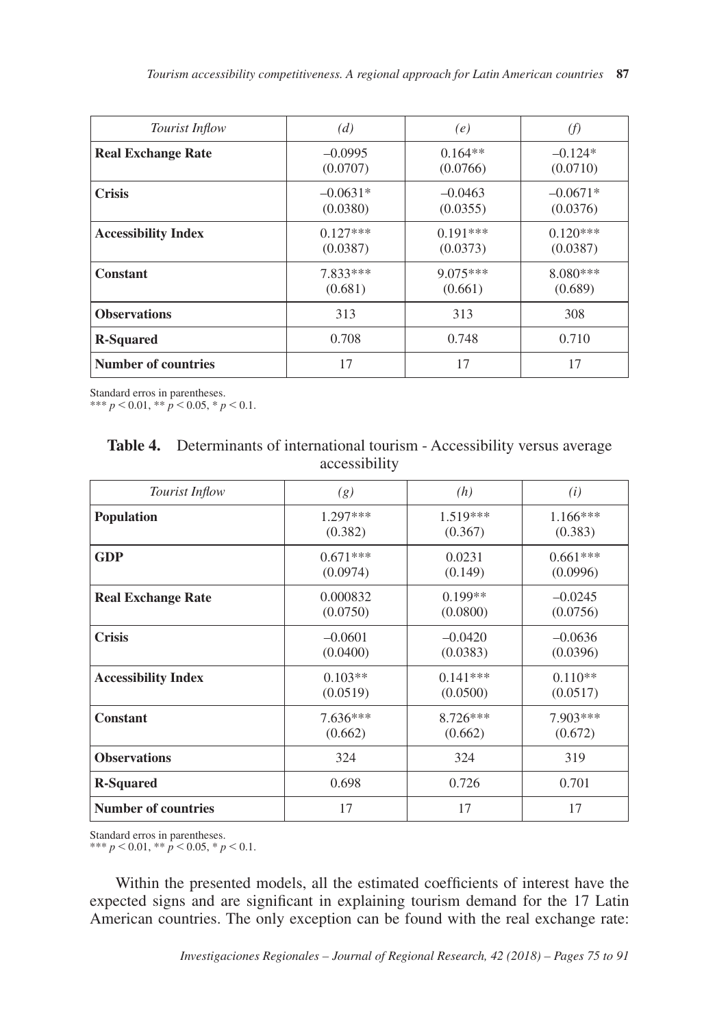| Tourist Inflow             | (d)        | (e)        | (f)        |
|----------------------------|------------|------------|------------|
| <b>Real Exchange Rate</b>  | $-0.0995$  | $0.164**$  | $-0.124*$  |
|                            | (0.0707)   | (0.0766)   | (0.0710)   |
| <b>Crisis</b>              | $-0.0631*$ | $-0.0463$  | $-0.0671*$ |
|                            | (0.0380)   | (0.0355)   | (0.0376)   |
| <b>Accessibility Index</b> | $0.127***$ | $0.191***$ | $0.120***$ |
|                            | (0.0387)   | (0.0373)   | (0.0387)   |
| Constant                   | 7.833***   | $9.075***$ | $8.080***$ |
|                            | (0.681)    | (0.661)    | (0.689)    |
| <b>Observations</b>        | 313        | 313        | 308        |
| <b>R-Squared</b>           | 0.708      | 0.748      | 0.710      |
| Number of countries        | 17         | 17         | 17         |

Standard erros in parentheses.

\*\*\*  $p < 0.01$ , \*\*  $p < 0.05$ , \*  $p < 0.1$ .

| Table 4. Determinants of international tourism - Accessibility versus average |
|-------------------------------------------------------------------------------|
| accessibility                                                                 |

| Tourist Inflow             | (g)        | (h)        | (i)        |
|----------------------------|------------|------------|------------|
| <b>Population</b>          | $1.297***$ | $1.519***$ | $1.166***$ |
|                            | (0.382)    | (0.367)    | (0.383)    |
| GDP                        | $0.671***$ | 0.0231     | $0.661***$ |
|                            | (0.0974)   | (0.149)    | (0.0996)   |
| <b>Real Exchange Rate</b>  | 0.000832   | $0.199**$  | $-0.0245$  |
|                            | (0.0750)   | (0.0800)   | (0.0756)   |
| <b>Crisis</b>              | $-0.0601$  | $-0.0420$  | $-0.0636$  |
|                            | (0.0400)   | (0.0383)   | (0.0396)   |
| <b>Accessibility Index</b> | $0.103**$  | $0.141***$ | $0.110**$  |
|                            | (0.0519)   | (0.0500)   | (0.0517)   |
| <b>Constant</b>            | $7.636***$ | 8.726***   | 7.903***   |
|                            | (0.662)    | (0.662)    | (0.672)    |
| <b>Observations</b>        | 324        | 324        | 319        |
| <b>R-Squared</b>           | 0.698      | 0.726      | 0.701      |
| <b>Number of countries</b> | 17         | 17         | 17         |

Standard erros in parentheses.

\*\*\*  $p < 0.01$ , \*\*  $p < 0.05$ , \*  $p < 0.1$ .

Within the presented models, all the estimated coefficients of interest have the expected signs and are significant in explaining tourism demand for the 17 Latin American countries. The only exception can be found with the real exchange rate: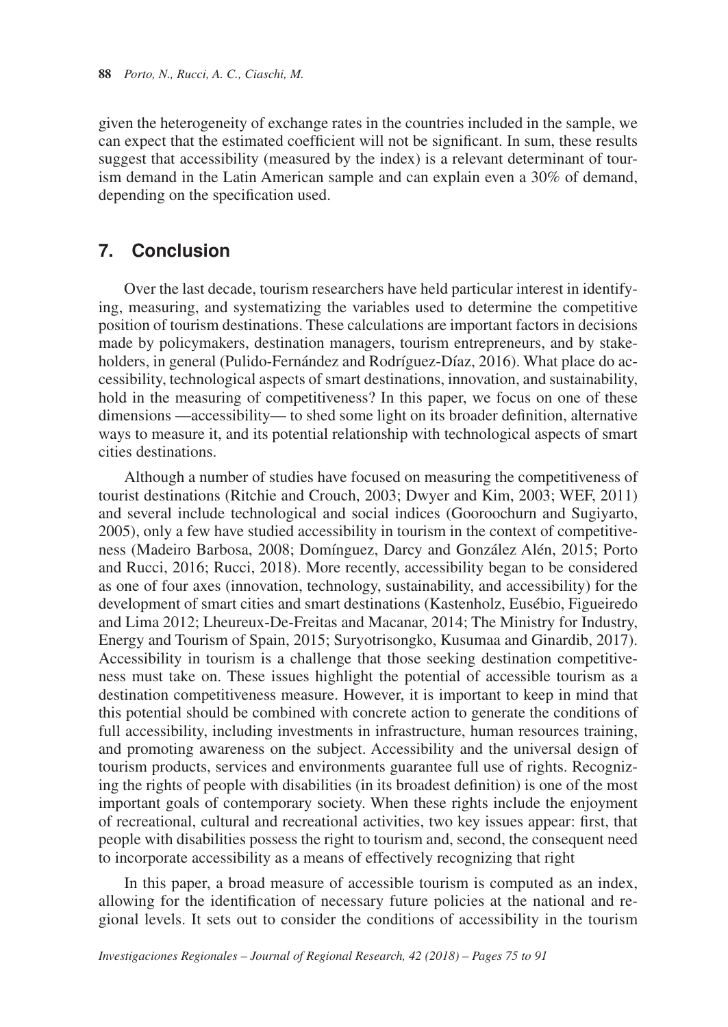given the heterogeneity of exchange rates in the countries included in the sample, we can expect that the estimated coefficient will not be significant. In sum, these results suggest that accessibility (measured by the index) is a relevant determinant of tourism demand in the Latin American sample and can explain even a 30% of demand, depending on the specification used.

## **7. Conclusion**

Over the last decade, tourism researchers have held particular interest in identifying, measuring, and systematizing the variables used to determine the competitive position of tourism destinations. These calculations are important factors in decisions made by policymakers, destination managers, tourism entrepreneurs, and by stakeholders, in general (Pulido-Fernández and Rodríguez-Díaz, 2016). What place do accessibility, technological aspects of smart destinations, innovation, and sustainability, hold in the measuring of competitiveness? In this paper, we focus on one of these dimensions —accessibility— to shed some light on its broader definition, alternative ways to measure it, and its potential relationship with technological aspects of smart cities destinations.

Although a number of studies have focused on measuring the competitiveness of tourist destinations (Ritchie and Crouch, 2003; Dwyer and Kim, 2003; WEF, 2011) and several include technological and social indices (Gooroochurn and Sugiyarto, 2005), only a few have studied accessibility in tourism in the context of competitiveness (Madeiro Barbosa, 2008; Domínguez, Darcy and González Alén, 2015; Porto and Rucci, 2016; Rucci, 2018). More recently, accessibility began to be considered as one of four axes (innovation, technology, sustainability, and accessibility) for the development of smart cities and smart destinations (Kastenholz, Eusébio, Figueiredo and Lima 2012; Lheureux-De-Freitas and Macanar, 2014; The Ministry for Industry, Energy and Tourism of Spain, 2015; Suryotrisongko, Kusumaa and Ginardib, 2017). Accessibility in tourism is a challenge that those seeking destination competitiveness must take on. These issues highlight the potential of accessible tourism as a destination competitiveness measure. However, it is important to keep in mind that this potential should be combined with concrete action to generate the conditions of full accessibility, including investments in infrastructure, human resources training, and promoting awareness on the subject. Accessibility and the universal design of tourism products, services and environments guarantee full use of rights. Recognizing the rights of people with disabilities (in its broadest definition) is one of the most important goals of contemporary society. When these rights include the enjoyment of recreational, cultural and recreational activities, two key issues appear: first, that people with disabilities possess the right to tourism and, second, the consequent need to incorporate accessibility as a means of effectively recognizing that right

In this paper, a broad measure of accessible tourism is computed as an index, allowing for the identification of necessary future policies at the national and regional levels. It sets out to consider the conditions of accessibility in the tourism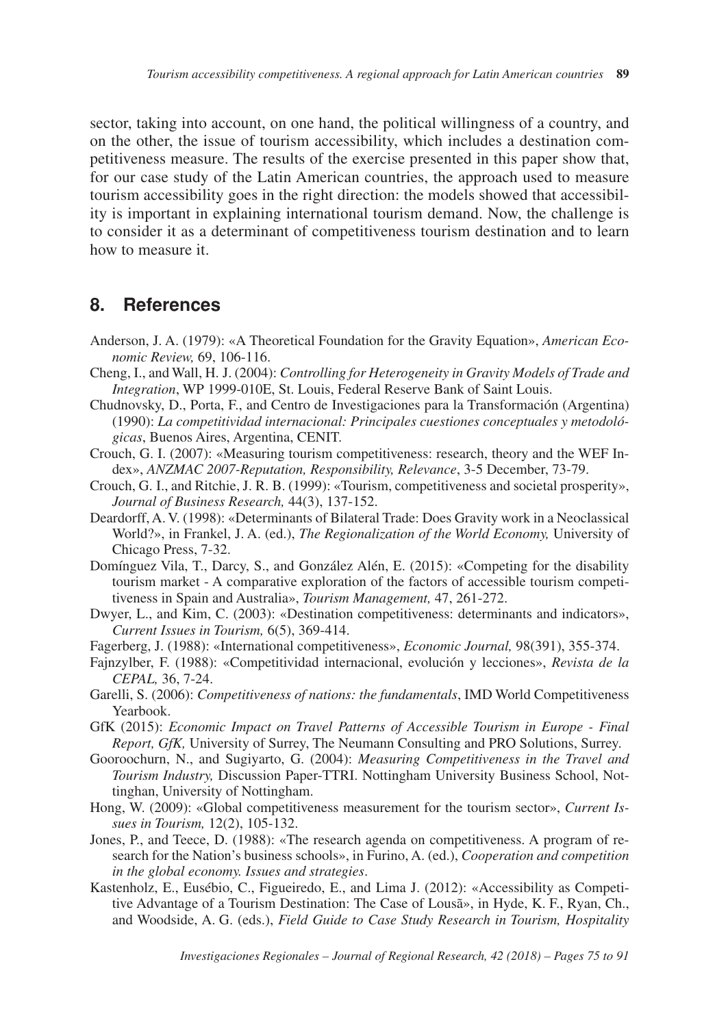sector, taking into account, on one hand, the political willingness of a country, and on the other, the issue of tourism accessibility, which includes a destination competitiveness measure. The results of the exercise presented in this paper show that, for our case study of the Latin American countries, the approach used to measure tourism accessibility goes in the right direction: the models showed that accessibility is important in explaining international tourism demand. Now, the challenge is to consider it as a determinant of competitiveness tourism destination and to learn how to measure it.

## **8. References**

- Anderson, J. A. (1979): «A Theoretical Foundation for the Gravity Equation», *American Economic Review,* 69, 106-116.
- Cheng, I., and Wall, H. J. (2004): *Controlling for Heterogeneity in Gravity Models of Trade and Integration*, WP 1999-010E, St. Louis, Federal Reserve Bank of Saint Louis.
- Chudnovsky, D., Porta, F., and Centro de Investigaciones para la Transformación (Argentina) (1990): *La competitividad internacional: Principales cuestiones conceptuales y metodológicas*, Buenos Aires, Argentina, CENIT.
- Crouch, G. I. (2007): «Measuring tourism competitiveness: research, theory and the WEF Index», *ANZMAC 2007-Reputation, Responsibility, Relevance*, 3-5 December, 73-79.
- Crouch, G. I., and Ritchie, J. R. B. (1999): «Tourism, competitiveness and societal prosperity», *Journal of Business Research,* 44(3), 137-152.
- Deardorff, A. V. (1998): «Determinants of Bilateral Trade: Does Gravity work in a Neoclassical World?», in Frankel, J. A. (ed.), *The Regionalization of the World Economy,* University of Chicago Press, 7-32.
- Domínguez Vila, T., Darcy, S., and González Alén, E. (2015): «Competing for the disability tourism market - A comparative exploration of the factors of accessible tourism competitiveness in Spain and Australia», *Tourism Management,* 47, 261-272.
- Dwyer, L., and Kim, C. (2003): «Destination competitiveness: determinants and indicators», *Current Issues in Tourism,* 6(5), 369-414.
- Fagerberg, J. (1988): «International competitiveness», *Economic Journal,* 98(391), 355-374.
- Fajnzylber, F. (1988): «Competitividad internacional, evolución y lecciones», *Revista de la CEPAL,* 36, 7-24.
- Garelli, S. (2006): *Competitiveness of nations: the fundamentals*, IMD World Competitiveness Yearbook.
- GfK (2015): *Economic Impact on Travel Patterns of Accessible Tourism in Europe Final Report, GfK,* University of Surrey, The Neumann Consulting and PRO Solutions, Surrey.
- Gooroochurn, N., and Sugiyarto, G. (2004): *Measuring Competitiveness in the Travel and Tourism Industry,* Discussion Paper-TTRI. Nottingham University Business School, Nottinghan, University of Nottingham.
- Hong, W. (2009): «Global competitiveness measurement for the tourism sector», *Current Issues in Tourism,* 12(2), 105-132.
- Jones, P., and Teece, D. (1988): «The research agenda on competitiveness. A program of research for the Nation's business schools», in Furino, A. (ed.), *Cooperation and competition in the global economy. Issues and strategies*.
- Kastenholz, E., Eusébio, C., Figueiredo, E., and Lima J. (2012): «Accessibility as Competitive Advantage of a Tourism Destination: The Case of Lousã», in Hyde, K. F., Ryan, Ch., and Woodside, A. G. (eds.), *Field Guide to Case Study Research in Tourism, Hospitality*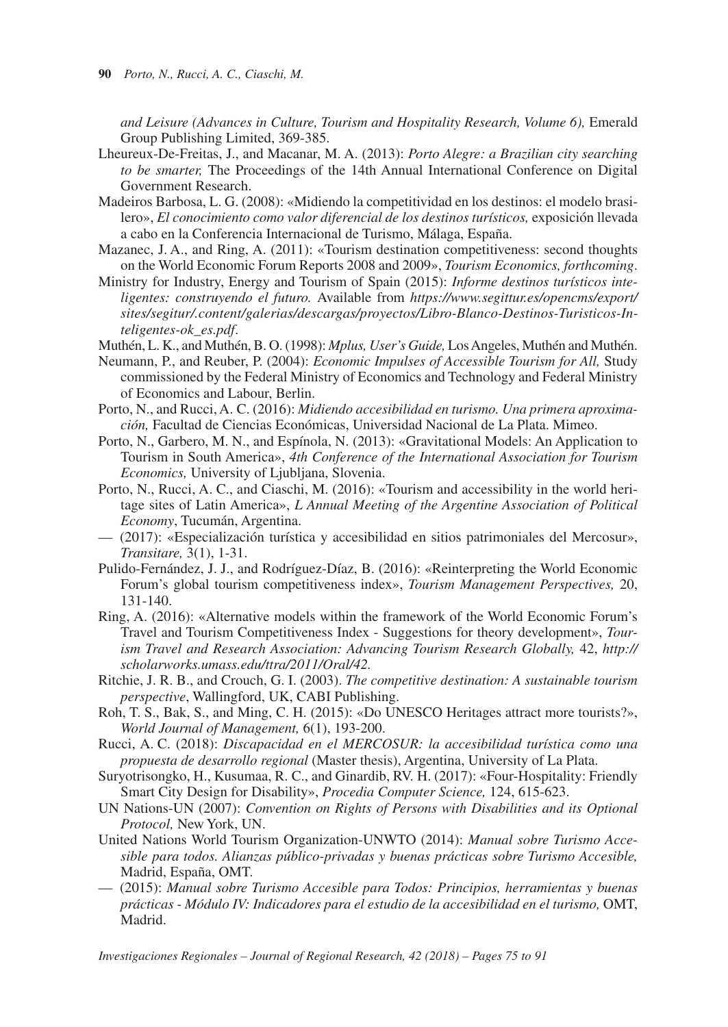*and Leisure (Advances in Culture, Tourism and Hospitality Research, Volume 6), Emerald* Group Publishing Limited, 369-385.

- Lheureux-De-Freitas, J., and Macanar, M. A. (2013): *Porto Alegre: a Brazilian city searching to be smarter.* The Proceedings of the 14th Annual International Conference on Digital Government Research.
- Madeiros Barbosa, L. G. (2008): «Midiendo la competitividad en los destinos: el modelo brasilero», *El conocimiento como valor diferencial de los destinos turísticos,* exposición llevada a cabo en la Conferencia Internacional de Turismo, Málaga, España.
- Mazanec, J. A., and Ring, A. (2011): «Tourism destination competitiveness: second thoughts on the World Economic Forum Reports 2008 and 2009», *Tourism Economics, forthcoming*.
- Ministry for Industry, Energy and Tourism of Spain (2015): *Informe destinos turísticos inteligentes: construyendo el futuro.* Available from *https://www.segittur.es/opencms/export/ sites/segitur/.content/galerias/descargas/proyectos/Libro-Blanco-Destinos-Turisticos-Inteligentes-ok\_es.pdf*.
- Muthén, L. K., and Muthén, B. O. (1998): *Mplus, User's Guide,* Los Angeles, Muthén and Muthén.
- Neumann, P., and Reuber, P. (2004): *Economic Impulses of Accessible Tourism for All,* Study commissioned by the Federal Ministry of Economics and Technology and Federal Ministry of Economics and Labour, Berlin.
- Porto, N., and Rucci, A. C. (2016): *Midiendo accesibilidad en turismo. Una primera aproximación,* Facultad de Ciencias Económicas, Universidad Nacional de La Plata. Mimeo.
- Porto, N., Garbero, M. N., and Espínola, N. (2013): «Gravitational Models: An Application to Tourism in South America», *4th Conference of the International Association for Tourism Economics,* University of Ljubljana, Slovenia.
- Porto, N., Rucci, A. C., and Ciaschi, M. (2016): «Tourism and accessibility in the world heritage sites of Latin America», *L Annual Meeting of the Argentine Association of Political Economy*, Tucumán, Argentina.
- (2017): «Especialización turística y accesibilidad en sitios patrimoniales del Mercosur», *Transitare,* 3(1), 1-31.
- Pulido-Fernández, J. J., and Rodríguez-Díaz, B. (2016): «Reinterpreting the World Economic Forum's global tourism competitiveness index», *Tourism Management Perspectives,* 20, 131-140.
- Ring, A. (2016): «Alternative models within the framework of the World Economic Forum's Travel and Tourism Competitiveness Index - Suggestions for theory development», *Tourism Travel and Research Association: Advancing Tourism Research Globally,* 42, *http:// scholarworks.umass.edu/ttra/2011/Oral/42.*
- Ritchie, J. R. B., and Crouch, G. I. (2003). *The competitive destination: A sustainable tourism perspective*, Wallingford, UK, CABI Publishing.
- Roh, T. S., Bak, S., and Ming, C. H. (2015): «Do UNESCO Heritages attract more tourists?», *World Journal of Management,* 6(1), 193-200.
- Rucci, A. C. (2018): *Discapacidad en el MERCOSUR: la accesibilidad turística como una propuesta de desarrollo regional* (Master thesis), Argentina, University of La Plata.
- Suryotrisongko, H., Kusumaa, R. C., and Ginardib, RV. H. (2017): «Four-Hospitality: Friendly Smart City Design for Disability», *Procedia Computer Science,* 124, 615-623.
- UN Nations-UN (2007): *Convention on Rights of Persons with Disabilities and its Optional Protocol,* New York, UN.
- United Nations World Tourism Organization-UNWTO (2014): *Manual sobre Turismo Accesible para todos. Alianzas público-privadas y buenas prácticas sobre Turismo Accesible,*  Madrid, España, OMT.
- (2015): *Manual sobre Turismo Accesible para Todos: Principios, herramientas y buenas prácticas - Módulo IV: Indicadores para el estudio de la accesibilidad en el turismo,* OMT, Madrid.